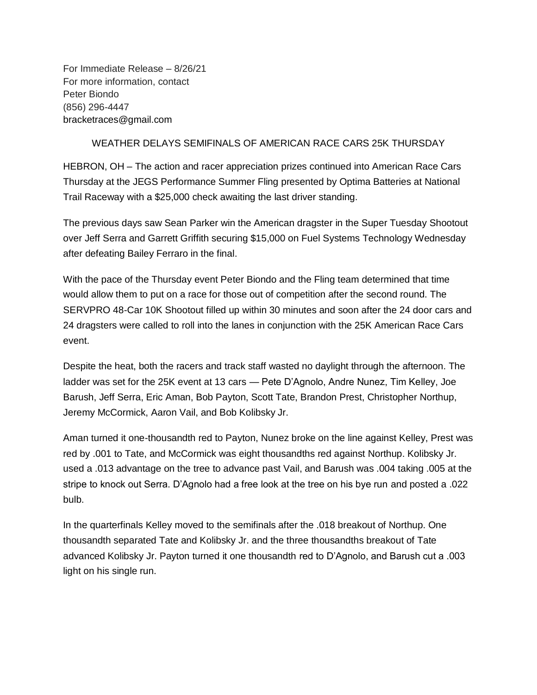For Immediate Release – 8/26/21 For more information, contact Peter Biondo (856) 296-4447 bracketraces@gmail.com

## WEATHER DELAYS SEMIFINALS OF AMERICAN RACE CARS 25K THURSDAY

HEBRON, OH – The action and racer appreciation prizes continued into American Race Cars Thursday at the JEGS Performance Summer Fling presented by Optima Batteries at National Trail Raceway with a \$25,000 check awaiting the last driver standing.

The previous days saw Sean Parker win the American dragster in the Super Tuesday Shootout over Jeff Serra and Garrett Griffith securing \$15,000 on Fuel Systems Technology Wednesday after defeating Bailey Ferraro in the final.

With the pace of the Thursday event Peter Biondo and the Fling team determined that time would allow them to put on a race for those out of competition after the second round. The SERVPRO 48-Car 10K Shootout filled up within 30 minutes and soon after the 24 door cars and 24 dragsters were called to roll into the lanes in conjunction with the 25K American Race Cars event.

Despite the heat, both the racers and track staff wasted no daylight through the afternoon. The ladder was set for the 25K event at 13 cars — Pete D'Agnolo, Andre Nunez, Tim Kelley, Joe Barush, Jeff Serra, Eric Aman, Bob Payton, Scott Tate, Brandon Prest, Christopher Northup, Jeremy McCormick, Aaron Vail, and Bob Kolibsky Jr.

Aman turned it one-thousandth red to Payton, Nunez broke on the line against Kelley, Prest was red by .001 to Tate, and McCormick was eight thousandths red against Northup. Kolibsky Jr. used a .013 advantage on the tree to advance past Vail, and Barush was .004 taking .005 at the stripe to knock out Serra. D'Agnolo had a free look at the tree on his bye run and posted a .022 bulb.

In the quarterfinals Kelley moved to the semifinals after the .018 breakout of Northup. One thousandth separated Tate and Kolibsky Jr. and the three thousandths breakout of Tate advanced Kolibsky Jr. Payton turned it one thousandth red to D'Agnolo, and Barush cut a .003 light on his single run.